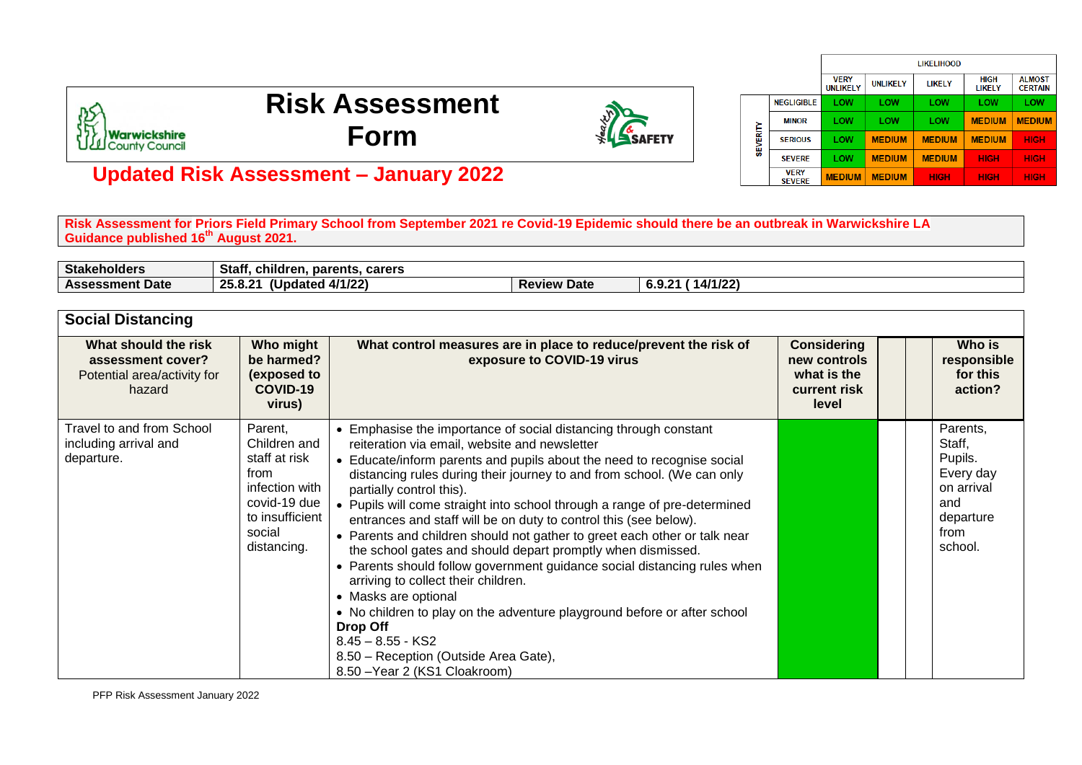

## **Risk Assessment Form**



|                                         |                   |                                |                 | <b>LIKELIHOOD</b> |                       |                                 |
|-----------------------------------------|-------------------|--------------------------------|-----------------|-------------------|-----------------------|---------------------------------|
|                                         |                   | <b>VERY</b><br><b>UNLIKELY</b> | <b>UNLIKELY</b> | LIKELY            | <b>HIGH</b><br>LIKELY | <b>ALMOST</b><br><b>CERTAIN</b> |
| <b>MINOR</b><br>SEVERITY<br><b>VERY</b> | <b>NEGLIGIBLE</b> | LOW                            | LOW             | LOW               | LOW                   | LOW                             |
|                                         |                   | LOW                            | LOW             | LOW               | <b>MEDIUM</b>         | <b>MEDIUM</b>                   |
|                                         | <b>SERIOUS</b>    | LOW                            | <b>MEDIUM</b>   | <b>MEDIUM</b>     | <b>MEDIUM</b>         | <b>HIGH</b>                     |
|                                         | <b>SFVFRF</b>     | LOW                            | <b>MEDIUM</b>   | <b>MEDIUM</b>     | <b>HIGH</b>           | <b>HIGH</b>                     |
|                                         | <b>SEVERE</b>     | <b>MEDIUM</b>                  | <b>MEDIUM</b>   | <b>HIGH</b>       | <b>HIGH</b>           | <b>HIGH</b>                     |

## **Updated Risk Assessment – January 2022**

**Risk Assessment for Priors Field Primary School from September 2021 re Covid-19 Epidemic should there be an outbreak in Warwickshire LA Guidance published 16th August 2021.**

| <b>Stakeholders</b>    | .<br>. .<br>Stat.<br>. carers<br>t. children.<br>parents       |                       |                                                                |
|------------------------|----------------------------------------------------------------|-----------------------|----------------------------------------------------------------|
| <b>Assessment Date</b> | .<br>14100<br><u>.</u><br>ን 5<br>upaated<br>74/1/22.<br>2J.V.Z | <b>Review</b><br>Date | 1 1 1 1 1 2 1 1<br>$\Omega$<br>ົ<br>$14/1/\epsilon$ .<br>0.Y.L |

| <b>Social Distancing</b>                                                           |                                                                                                                                |                                                                                                                                                                                                                                                                                                                                                                                                                                                                                                                                                                                                                                                                                                                                                                                                                                                                                                                                    |                                                                            |  |                                                                                                 |
|------------------------------------------------------------------------------------|--------------------------------------------------------------------------------------------------------------------------------|------------------------------------------------------------------------------------------------------------------------------------------------------------------------------------------------------------------------------------------------------------------------------------------------------------------------------------------------------------------------------------------------------------------------------------------------------------------------------------------------------------------------------------------------------------------------------------------------------------------------------------------------------------------------------------------------------------------------------------------------------------------------------------------------------------------------------------------------------------------------------------------------------------------------------------|----------------------------------------------------------------------------|--|-------------------------------------------------------------------------------------------------|
| What should the risk<br>assessment cover?<br>Potential area/activity for<br>hazard | Who might<br>be harmed?<br>(exposed to<br>COVID-19<br>virus)                                                                   | What control measures are in place to reduce/prevent the risk of<br>exposure to COVID-19 virus                                                                                                                                                                                                                                                                                                                                                                                                                                                                                                                                                                                                                                                                                                                                                                                                                                     | <b>Considering</b><br>new controls<br>what is the<br>current risk<br>level |  | Who is<br>responsible<br>for this<br>action?                                                    |
| Travel to and from School<br>including arrival and<br>departure.                   | Parent,<br>Children and<br>staff at risk<br>from<br>infection with<br>covid-19 due<br>to insufficient<br>social<br>distancing. | • Emphasise the importance of social distancing through constant<br>reiteration via email, website and newsletter<br>• Educate/inform parents and pupils about the need to recognise social<br>distancing rules during their journey to and from school. (We can only<br>partially control this).<br>• Pupils will come straight into school through a range of pre-determined<br>entrances and staff will be on duty to control this (see below).<br>• Parents and children should not gather to greet each other or talk near<br>the school gates and should depart promptly when dismissed.<br>• Parents should follow government guidance social distancing rules when<br>arriving to collect their children.<br>• Masks are optional<br>• No children to play on the adventure playground before or after school<br>Drop Off<br>$8.45 - 8.55 - KS2$<br>8.50 - Reception (Outside Area Gate),<br>8.50 - Year 2 (KS1 Cloakroom) |                                                                            |  | Parents,<br>Staff,<br>Pupils.<br>Every day<br>on arrival<br>and<br>departure<br>from<br>school. |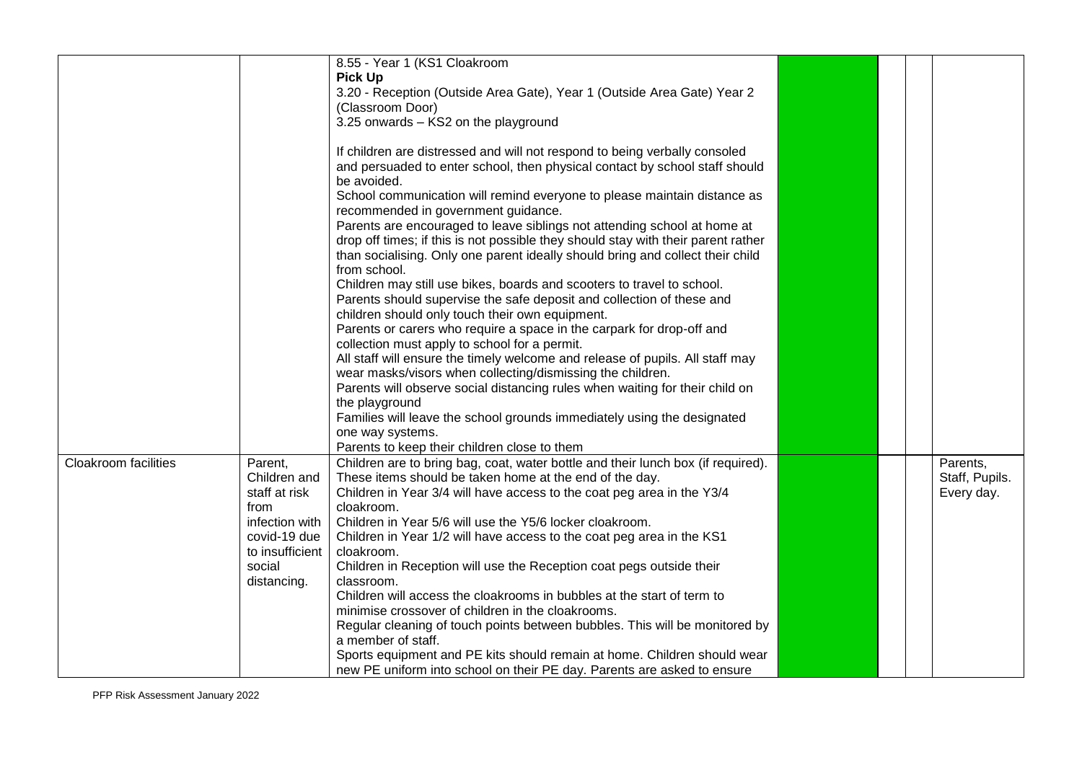|                             |                 | 8.55 - Year 1 (KS1 Cloakroom                                                      |  |                |
|-----------------------------|-----------------|-----------------------------------------------------------------------------------|--|----------------|
|                             |                 | <b>Pick Up</b>                                                                    |  |                |
|                             |                 | 3.20 - Reception (Outside Area Gate), Year 1 (Outside Area Gate) Year 2           |  |                |
|                             |                 |                                                                                   |  |                |
|                             |                 | (Classroom Door)                                                                  |  |                |
|                             |                 | 3.25 onwards - KS2 on the playground                                              |  |                |
|                             |                 | If children are distressed and will not respond to being verbally consoled        |  |                |
|                             |                 | and persuaded to enter school, then physical contact by school staff should       |  |                |
|                             |                 | be avoided.                                                                       |  |                |
|                             |                 | School communication will remind everyone to please maintain distance as          |  |                |
|                             |                 | recommended in government guidance.                                               |  |                |
|                             |                 | Parents are encouraged to leave siblings not attending school at home at          |  |                |
|                             |                 | drop off times; if this is not possible they should stay with their parent rather |  |                |
|                             |                 | than socialising. Only one parent ideally should bring and collect their child    |  |                |
|                             |                 | from school.                                                                      |  |                |
|                             |                 | Children may still use bikes, boards and scooters to travel to school.            |  |                |
|                             |                 | Parents should supervise the safe deposit and collection of these and             |  |                |
|                             |                 | children should only touch their own equipment.                                   |  |                |
|                             |                 | Parents or carers who require a space in the carpark for drop-off and             |  |                |
|                             |                 | collection must apply to school for a permit.                                     |  |                |
|                             |                 | All staff will ensure the timely welcome and release of pupils. All staff may     |  |                |
|                             |                 | wear masks/visors when collecting/dismissing the children.                        |  |                |
|                             |                 | Parents will observe social distancing rules when waiting for their child on      |  |                |
|                             |                 | the playground                                                                    |  |                |
|                             |                 | Families will leave the school grounds immediately using the designated           |  |                |
|                             |                 | one way systems.                                                                  |  |                |
|                             |                 | Parents to keep their children close to them                                      |  |                |
| <b>Cloakroom facilities</b> | Parent,         | Children are to bring bag, coat, water bottle and their lunch box (if required).  |  | Parents,       |
|                             | Children and    | These items should be taken home at the end of the day.                           |  | Staff, Pupils. |
|                             | staff at risk   | Children in Year 3/4 will have access to the coat peg area in the Y3/4            |  | Every day.     |
|                             | from            | cloakroom.                                                                        |  |                |
|                             | infection with  | Children in Year 5/6 will use the Y5/6 locker cloakroom.                          |  |                |
|                             | covid-19 due    | Children in Year 1/2 will have access to the coat peg area in the KS1             |  |                |
|                             | to insufficient | cloakroom.                                                                        |  |                |
|                             | social          | Children in Reception will use the Reception coat pegs outside their              |  |                |
|                             | distancing.     | classroom.                                                                        |  |                |
|                             |                 | Children will access the cloakrooms in bubbles at the start of term to            |  |                |
|                             |                 | minimise crossover of children in the cloakrooms.                                 |  |                |
|                             |                 | Regular cleaning of touch points between bubbles. This will be monitored by       |  |                |
|                             |                 | a member of staff.                                                                |  |                |
|                             |                 | Sports equipment and PE kits should remain at home. Children should wear          |  |                |
|                             |                 | new PE uniform into school on their PE day. Parents are asked to ensure           |  |                |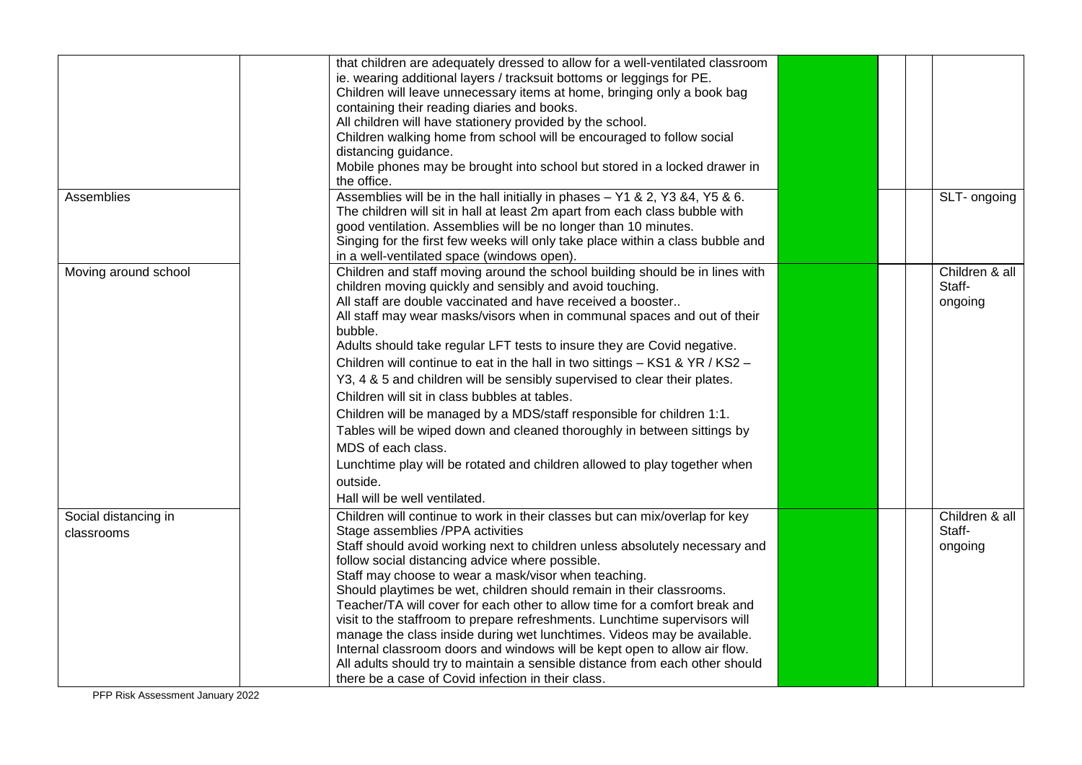|                      | that children are adequately dressed to allow for a well-ventilated classroom  |  |                |
|----------------------|--------------------------------------------------------------------------------|--|----------------|
|                      | ie. wearing additional layers / tracksuit bottoms or leggings for PE.          |  |                |
|                      | Children will leave unnecessary items at home, bringing only a book bag        |  |                |
|                      | containing their reading diaries and books.                                    |  |                |
|                      | All children will have stationery provided by the school.                      |  |                |
|                      | Children walking home from school will be encouraged to follow social          |  |                |
|                      | distancing guidance.                                                           |  |                |
|                      | Mobile phones may be brought into school but stored in a locked drawer in      |  |                |
|                      | the office.                                                                    |  |                |
| Assemblies           | Assemblies will be in the hall initially in phases - Y1 & 2, Y3 & 4, Y5 & 6.   |  | SLT- ongoing   |
|                      | The children will sit in hall at least 2m apart from each class bubble with    |  |                |
|                      | good ventilation. Assemblies will be no longer than 10 minutes.                |  |                |
|                      | Singing for the first few weeks will only take place within a class bubble and |  |                |
|                      | in a well-ventilated space (windows open).                                     |  |                |
| Moving around school | Children and staff moving around the school building should be in lines with   |  | Children & all |
|                      | children moving quickly and sensibly and avoid touching.                       |  | Staff-         |
|                      | All staff are double vaccinated and have received a booster                    |  | ongoing        |
|                      | All staff may wear masks/visors when in communal spaces and out of their       |  |                |
|                      | bubble.                                                                        |  |                |
|                      | Adults should take regular LFT tests to insure they are Covid negative.        |  |                |
|                      | Children will continue to eat in the hall in two sittings - KS1 & YR / KS2 -   |  |                |
|                      | Y3, 4 & 5 and children will be sensibly supervised to clear their plates.      |  |                |
|                      |                                                                                |  |                |
|                      | Children will sit in class bubbles at tables.                                  |  |                |
|                      | Children will be managed by a MDS/staff responsible for children 1:1.          |  |                |
|                      | Tables will be wiped down and cleaned thoroughly in between sittings by        |  |                |
|                      | MDS of each class.                                                             |  |                |
|                      | Lunchtime play will be rotated and children allowed to play together when      |  |                |
|                      | outside.                                                                       |  |                |
|                      | Hall will be well ventilated.                                                  |  |                |
|                      |                                                                                |  |                |
| Social distancing in | Children will continue to work in their classes but can mix/overlap for key    |  | Children & all |
| classrooms           | Stage assemblies /PPA activities                                               |  | Staff-         |
|                      | Staff should avoid working next to children unless absolutely necessary and    |  | ongoing        |
|                      | follow social distancing advice where possible.                                |  |                |
|                      | Staff may choose to wear a mask/visor when teaching.                           |  |                |
|                      | Should playtimes be wet, children should remain in their classrooms.           |  |                |
|                      | Teacher/TA will cover for each other to allow time for a comfort break and     |  |                |
|                      | visit to the staffroom to prepare refreshments. Lunchtime supervisors will     |  |                |
|                      | manage the class inside during wet lunchtimes. Videos may be available.        |  |                |
|                      | Internal classroom doors and windows will be kept open to allow air flow.      |  |                |
|                      | All adults should try to maintain a sensible distance from each other should   |  |                |
|                      | there be a case of Covid infection in their class.                             |  |                |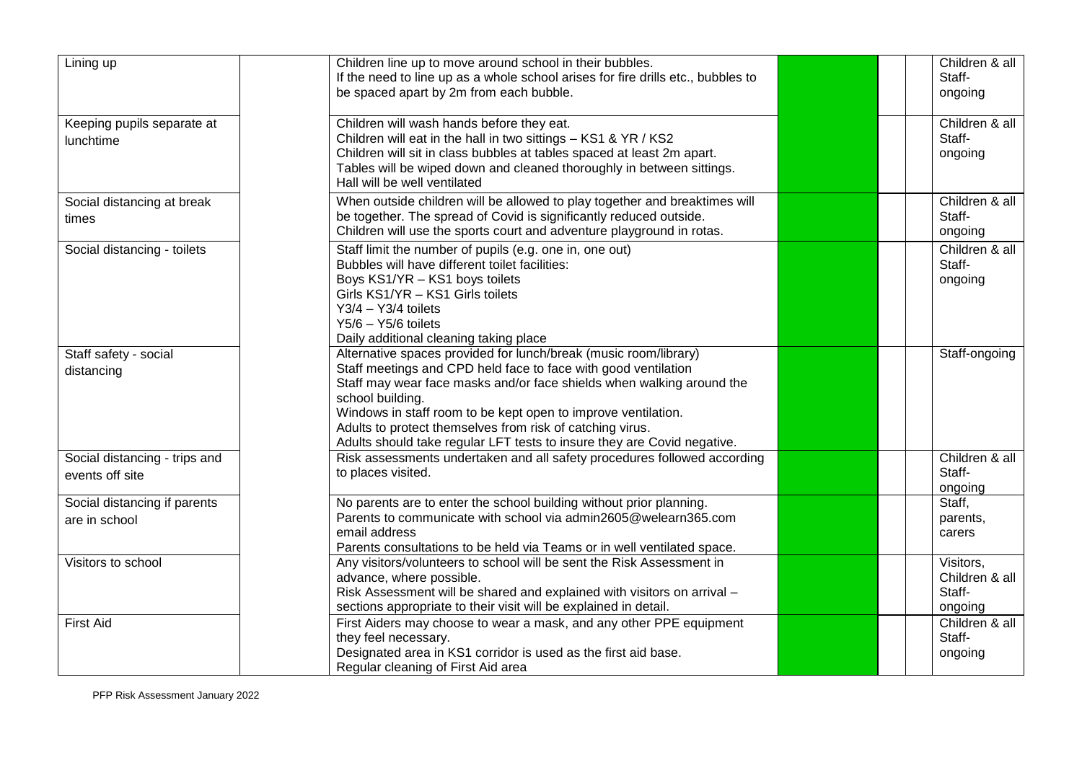| Lining up                                        | Children line up to move around school in their bubbles.<br>If the need to line up as a whole school arises for fire drills etc., bubbles to<br>be spaced apart by 2m from each bubble.                                                                                                                                                                                                                                                  |  | Children & all<br>Staff-<br>ongoing              |
|--------------------------------------------------|------------------------------------------------------------------------------------------------------------------------------------------------------------------------------------------------------------------------------------------------------------------------------------------------------------------------------------------------------------------------------------------------------------------------------------------|--|--------------------------------------------------|
| Keeping pupils separate at<br>lunchtime          | Children will wash hands before they eat.<br>Children will eat in the hall in two sittings - KS1 & YR / KS2<br>Children will sit in class bubbles at tables spaced at least 2m apart.<br>Tables will be wiped down and cleaned thoroughly in between sittings.<br>Hall will be well ventilated                                                                                                                                           |  | Children & all<br>Staff-<br>ongoing              |
| Social distancing at break<br>times              | When outside children will be allowed to play together and breaktimes will<br>be together. The spread of Covid is significantly reduced outside.<br>Children will use the sports court and adventure playground in rotas.                                                                                                                                                                                                                |  | Children & all<br>Staff-<br>ongoing              |
| Social distancing - toilets                      | Staff limit the number of pupils (e.g. one in, one out)<br>Bubbles will have different toilet facilities:<br>Boys KS1/YR - KS1 boys toilets<br>Girls KS1/YR - KS1 Girls toilets<br>$Y3/4 - Y3/4$ toilets<br>$Y5/6 - Y5/6$ toilets<br>Daily additional cleaning taking place                                                                                                                                                              |  | Children & all<br>Staff-<br>ongoing              |
| Staff safety - social<br>distancing              | Alternative spaces provided for lunch/break (music room/library)<br>Staff meetings and CPD held face to face with good ventilation<br>Staff may wear face masks and/or face shields when walking around the<br>school building.<br>Windows in staff room to be kept open to improve ventilation.<br>Adults to protect themselves from risk of catching virus.<br>Adults should take regular LFT tests to insure they are Covid negative. |  | Staff-ongoing                                    |
| Social distancing - trips and<br>events off site | Risk assessments undertaken and all safety procedures followed according<br>to places visited.                                                                                                                                                                                                                                                                                                                                           |  | Children & all<br>Staff-<br>ongoing              |
| Social distancing if parents<br>are in school    | No parents are to enter the school building without prior planning.<br>Parents to communicate with school via admin2605@welearn365.com<br>email address<br>Parents consultations to be held via Teams or in well ventilated space.                                                                                                                                                                                                       |  | Staff,<br>parents,<br>carers                     |
| Visitors to school                               | Any visitors/volunteers to school will be sent the Risk Assessment in<br>advance, where possible.<br>Risk Assessment will be shared and explained with visitors on arrival -<br>sections appropriate to their visit will be explained in detail.                                                                                                                                                                                         |  | Visitors,<br>Children & all<br>Staff-<br>ongoing |
| <b>First Aid</b>                                 | First Aiders may choose to wear a mask, and any other PPE equipment<br>they feel necessary.<br>Designated area in KS1 corridor is used as the first aid base.<br>Regular cleaning of First Aid area                                                                                                                                                                                                                                      |  | Children & all<br>Staff-<br>ongoing              |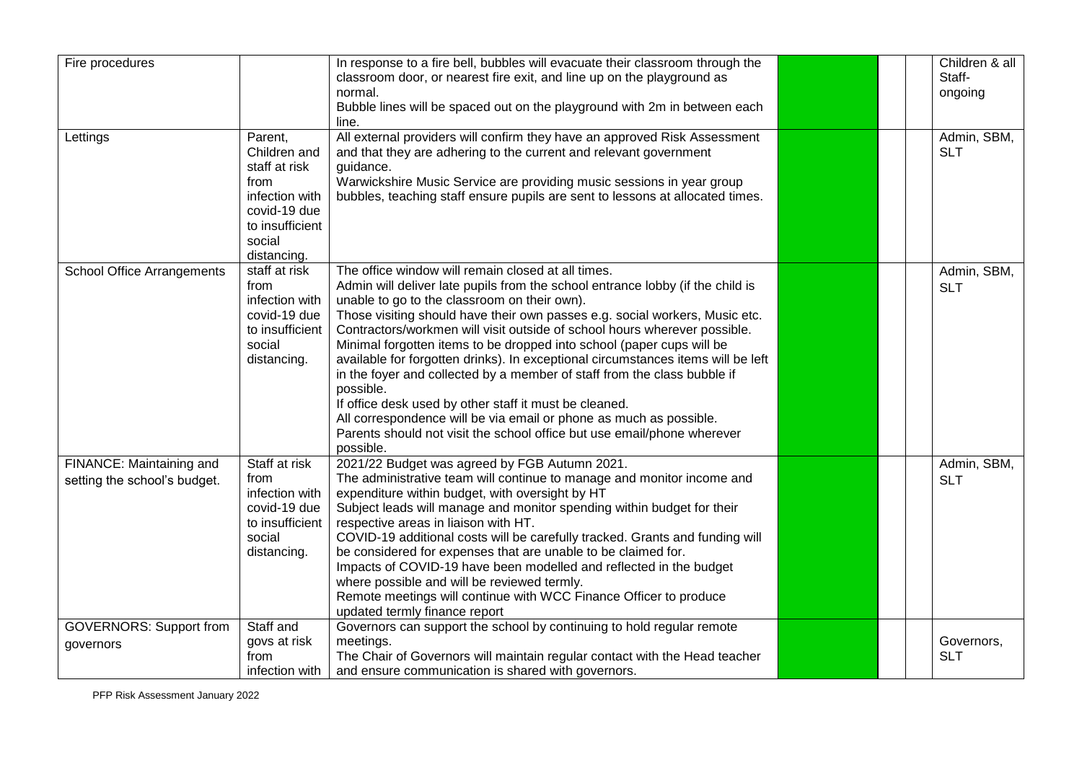| Fire procedures                                          |                                                                                                                                | In response to a fire bell, bubbles will evacuate their classroom through the<br>classroom door, or nearest fire exit, and line up on the playground as<br>normal.<br>Bubble lines will be spaced out on the playground with 2m in between each<br>line.                                                                                                                                                                                                                                                                                                                                                                                                                                                                                                                                                                       |  | Children & all<br>Staff-<br>ongoing |
|----------------------------------------------------------|--------------------------------------------------------------------------------------------------------------------------------|--------------------------------------------------------------------------------------------------------------------------------------------------------------------------------------------------------------------------------------------------------------------------------------------------------------------------------------------------------------------------------------------------------------------------------------------------------------------------------------------------------------------------------------------------------------------------------------------------------------------------------------------------------------------------------------------------------------------------------------------------------------------------------------------------------------------------------|--|-------------------------------------|
| Lettings                                                 | Parent,<br>Children and<br>staff at risk<br>from<br>infection with<br>covid-19 due<br>to insufficient<br>social<br>distancing. | All external providers will confirm they have an approved Risk Assessment<br>and that they are adhering to the current and relevant government<br>guidance.<br>Warwickshire Music Service are providing music sessions in year group<br>bubbles, teaching staff ensure pupils are sent to lessons at allocated times.                                                                                                                                                                                                                                                                                                                                                                                                                                                                                                          |  | Admin, SBM,<br><b>SLT</b>           |
| <b>School Office Arrangements</b>                        | staff at risk<br>from<br>infection with<br>covid-19 due<br>to insufficient<br>social<br>distancing.                            | The office window will remain closed at all times.<br>Admin will deliver late pupils from the school entrance lobby (if the child is<br>unable to go to the classroom on their own).<br>Those visiting should have their own passes e.g. social workers, Music etc.<br>Contractors/workmen will visit outside of school hours wherever possible.<br>Minimal forgotten items to be dropped into school (paper cups will be<br>available for forgotten drinks). In exceptional circumstances items will be left<br>in the foyer and collected by a member of staff from the class bubble if<br>possible.<br>If office desk used by other staff it must be cleaned.<br>All correspondence will be via email or phone as much as possible.<br>Parents should not visit the school office but use email/phone wherever<br>possible. |  | Admin, SBM,<br><b>SLT</b>           |
| FINANCE: Maintaining and<br>setting the school's budget. | Staff at risk<br>from<br>infection with<br>covid-19 due<br>to insufficient<br>social<br>distancing.                            | 2021/22 Budget was agreed by FGB Autumn 2021.<br>The administrative team will continue to manage and monitor income and<br>expenditure within budget, with oversight by HT<br>Subject leads will manage and monitor spending within budget for their<br>respective areas in liaison with HT.<br>COVID-19 additional costs will be carefully tracked. Grants and funding will<br>be considered for expenses that are unable to be claimed for.<br>Impacts of COVID-19 have been modelled and reflected in the budget<br>where possible and will be reviewed termly.<br>Remote meetings will continue with WCC Finance Officer to produce<br>updated termly finance report                                                                                                                                                       |  | Admin, SBM,<br><b>SLT</b>           |
| <b>GOVERNORS: Support from</b><br>governors              | Staff and<br>govs at risk<br>from<br>infection with                                                                            | Governors can support the school by continuing to hold regular remote<br>meetings.<br>The Chair of Governors will maintain regular contact with the Head teacher<br>and ensure communication is shared with governors.                                                                                                                                                                                                                                                                                                                                                                                                                                                                                                                                                                                                         |  | Governors,<br><b>SLT</b>            |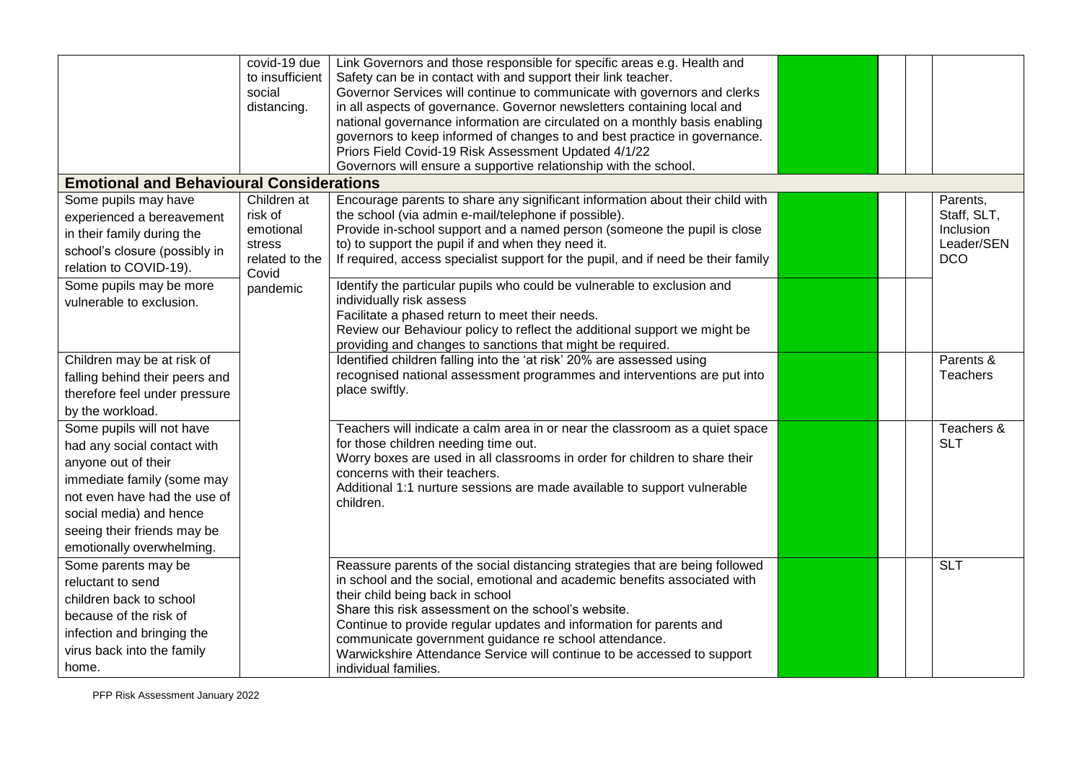|                                                                                                                                                                                                                                      | covid-19 due<br>to insufficient<br>social<br>distancing.                 | Link Governors and those responsible for specific areas e.g. Health and<br>Safety can be in contact with and support their link teacher.<br>Governor Services will continue to communicate with governors and clerks<br>in all aspects of governance. Governor newsletters containing local and<br>national governance information are circulated on a monthly basis enabling<br>governors to keep informed of changes to and best practice in governance.<br>Priors Field Covid-19 Risk Assessment Updated 4/1/22<br>Governors will ensure a supportive relationship with the school. |  |                                                                  |
|--------------------------------------------------------------------------------------------------------------------------------------------------------------------------------------------------------------------------------------|--------------------------------------------------------------------------|----------------------------------------------------------------------------------------------------------------------------------------------------------------------------------------------------------------------------------------------------------------------------------------------------------------------------------------------------------------------------------------------------------------------------------------------------------------------------------------------------------------------------------------------------------------------------------------|--|------------------------------------------------------------------|
| <b>Emotional and Behavioural Considerations</b>                                                                                                                                                                                      |                                                                          |                                                                                                                                                                                                                                                                                                                                                                                                                                                                                                                                                                                        |  |                                                                  |
| Some pupils may have<br>experienced a bereavement<br>in their family during the<br>school's closure (possibly in<br>relation to COVID-19).                                                                                           | Children at<br>risk of<br>emotional<br>stress<br>related to the<br>Covid | Encourage parents to share any significant information about their child with<br>the school (via admin e-mail/telephone if possible).<br>Provide in-school support and a named person (someone the pupil is close<br>to) to support the pupil if and when they need it.<br>If required, access specialist support for the pupil, and if need be their family                                                                                                                                                                                                                           |  | Parents,<br>Staff, SLT,<br>Inclusion<br>Leader/SEN<br><b>DCO</b> |
| Some pupils may be more<br>vulnerable to exclusion.                                                                                                                                                                                  | pandemic                                                                 | Identify the particular pupils who could be vulnerable to exclusion and<br>individually risk assess<br>Facilitate a phased return to meet their needs.<br>Review our Behaviour policy to reflect the additional support we might be<br>providing and changes to sanctions that might be required.                                                                                                                                                                                                                                                                                      |  |                                                                  |
| Children may be at risk of<br>falling behind their peers and<br>therefore feel under pressure<br>by the workload.                                                                                                                    |                                                                          | Identified children falling into the 'at risk' 20% are assessed using<br>recognised national assessment programmes and interventions are put into<br>place swiftly.                                                                                                                                                                                                                                                                                                                                                                                                                    |  | Parents &<br><b>Teachers</b>                                     |
| Some pupils will not have<br>had any social contact with<br>anyone out of their<br>immediate family (some may<br>not even have had the use of<br>social media) and hence<br>seeing their friends may be<br>emotionally overwhelming. |                                                                          | Teachers will indicate a calm area in or near the classroom as a quiet space<br>for those children needing time out.<br>Worry boxes are used in all classrooms in order for children to share their<br>concerns with their teachers.<br>Additional 1:1 nurture sessions are made available to support vulnerable<br>children.                                                                                                                                                                                                                                                          |  | Teachers &<br><b>SLT</b>                                         |
| Some parents may be<br>reluctant to send<br>children back to school<br>because of the risk of<br>infection and bringing the<br>virus back into the family<br>home.                                                                   |                                                                          | Reassure parents of the social distancing strategies that are being followed<br>in school and the social, emotional and academic benefits associated with<br>their child being back in school<br>Share this risk assessment on the school's website.<br>Continue to provide regular updates and information for parents and<br>communicate government guidance re school attendance.<br>Warwickshire Attendance Service will continue to be accessed to support<br>individual families.                                                                                                |  | $\overline{SLT}$                                                 |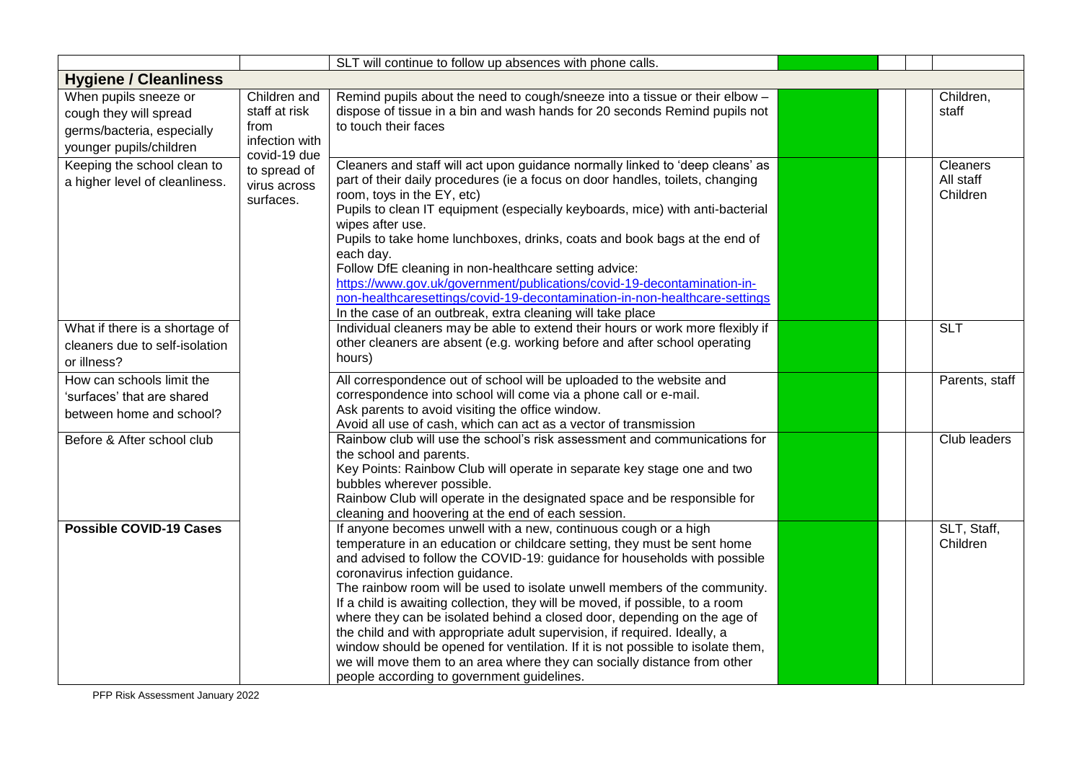|                                |                                | SLT will continue to follow up absences with phone calls.                                                                                                   |  |                |
|--------------------------------|--------------------------------|-------------------------------------------------------------------------------------------------------------------------------------------------------------|--|----------------|
| <b>Hygiene / Cleanliness</b>   |                                |                                                                                                                                                             |  |                |
| When pupils sneeze or          | Children and                   | Remind pupils about the need to cough/sneeze into a tissue or their elbow -                                                                                 |  | Children,      |
| cough they will spread         | staff at risk                  | dispose of tissue in a bin and wash hands for 20 seconds Remind pupils not                                                                                  |  | staff          |
| germs/bacteria, especially     | from                           | to touch their faces                                                                                                                                        |  |                |
| younger pupils/children        | infection with<br>covid-19 due |                                                                                                                                                             |  |                |
| Keeping the school clean to    | to spread of                   | Cleaners and staff will act upon guidance normally linked to 'deep cleans' as                                                                               |  | Cleaners       |
| a higher level of cleanliness. | virus across                   | part of their daily procedures (ie a focus on door handles, toilets, changing                                                                               |  | All staff      |
|                                | surfaces.                      | room, toys in the EY, etc)                                                                                                                                  |  | Children       |
|                                |                                | Pupils to clean IT equipment (especially keyboards, mice) with anti-bacterial<br>wipes after use.                                                           |  |                |
|                                |                                | Pupils to take home lunchboxes, drinks, coats and book bags at the end of                                                                                   |  |                |
|                                |                                | each day.                                                                                                                                                   |  |                |
|                                |                                | Follow DfE cleaning in non-healthcare setting advice:                                                                                                       |  |                |
|                                |                                | https://www.gov.uk/government/publications/covid-19-decontamination-in-                                                                                     |  |                |
|                                |                                | non-healthcaresettings/covid-19-decontamination-in-non-healthcare-settings                                                                                  |  |                |
|                                |                                | In the case of an outbreak, extra cleaning will take place                                                                                                  |  |                |
| What if there is a shortage of |                                | Individual cleaners may be able to extend their hours or work more flexibly if<br>other cleaners are absent (e.g. working before and after school operating |  | <b>SLT</b>     |
| cleaners due to self-isolation |                                | hours)                                                                                                                                                      |  |                |
| or illness?                    |                                |                                                                                                                                                             |  |                |
| How can schools limit the      |                                | All correspondence out of school will be uploaded to the website and                                                                                        |  | Parents, staff |
| 'surfaces' that are shared     |                                | correspondence into school will come via a phone call or e-mail.<br>Ask parents to avoid visiting the office window.                                        |  |                |
| between home and school?       |                                | Avoid all use of cash, which can act as a vector of transmission                                                                                            |  |                |
| Before & After school club     |                                | Rainbow club will use the school's risk assessment and communications for                                                                                   |  | Club leaders   |
|                                |                                | the school and parents.                                                                                                                                     |  |                |
|                                |                                | Key Points: Rainbow Club will operate in separate key stage one and two                                                                                     |  |                |
|                                |                                | bubbles wherever possible.                                                                                                                                  |  |                |
|                                |                                | Rainbow Club will operate in the designated space and be responsible for<br>cleaning and hoovering at the end of each session.                              |  |                |
| <b>Possible COVID-19 Cases</b> |                                | If anyone becomes unwell with a new, continuous cough or a high                                                                                             |  | SLT, Staff,    |
|                                |                                | temperature in an education or childcare setting, they must be sent home                                                                                    |  | Children       |
|                                |                                | and advised to follow the COVID-19: guidance for households with possible                                                                                   |  |                |
|                                |                                | coronavirus infection guidance.                                                                                                                             |  |                |
|                                |                                | The rainbow room will be used to isolate unwell members of the community.                                                                                   |  |                |
|                                |                                | If a child is awaiting collection, they will be moved, if possible, to a room                                                                               |  |                |
|                                |                                | where they can be isolated behind a closed door, depending on the age of<br>the child and with appropriate adult supervision, if required. Ideally, a       |  |                |
|                                |                                | window should be opened for ventilation. If it is not possible to isolate them,                                                                             |  |                |
|                                |                                | we will move them to an area where they can socially distance from other                                                                                    |  |                |
|                                |                                | people according to government guidelines.                                                                                                                  |  |                |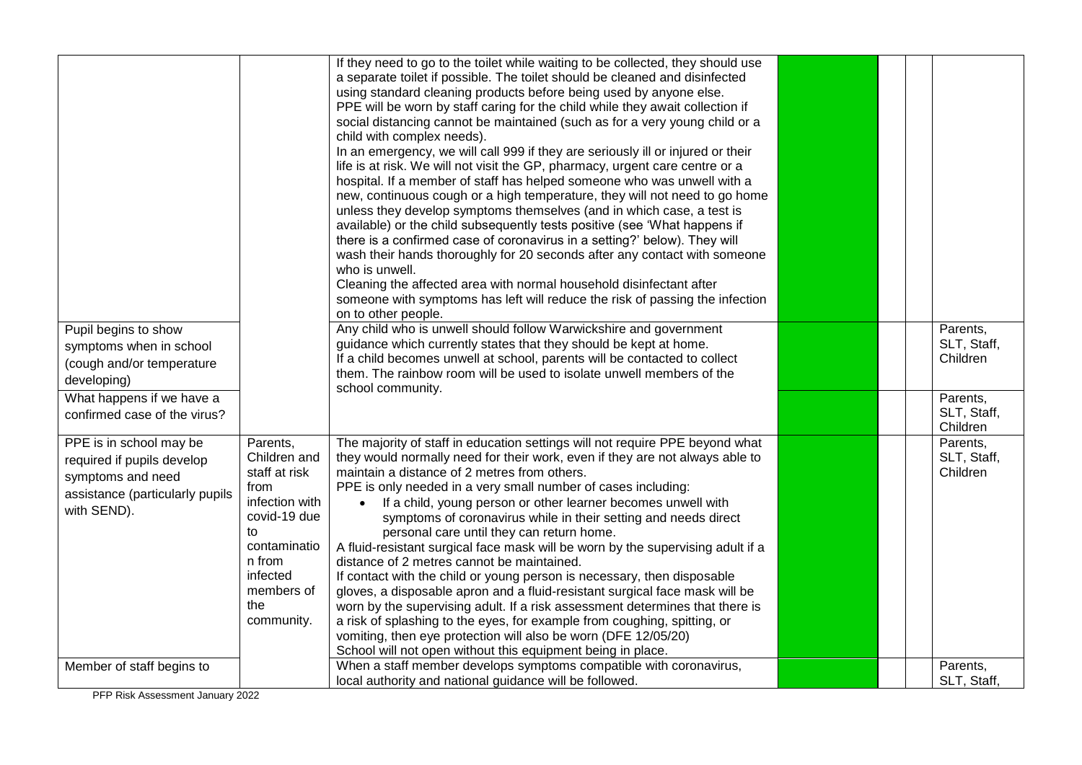| Pupil begins to show<br>symptoms when in school<br>(cough and/or temperature<br>developing)                                  |                                                                                                                                                                    | If they need to go to the toilet while waiting to be collected, they should use<br>a separate toilet if possible. The toilet should be cleaned and disinfected<br>using standard cleaning products before being used by anyone else.<br>PPE will be worn by staff caring for the child while they await collection if<br>social distancing cannot be maintained (such as for a very young child or a<br>child with complex needs).<br>In an emergency, we will call 999 if they are seriously ill or injured or their<br>life is at risk. We will not visit the GP, pharmacy, urgent care centre or a<br>hospital. If a member of staff has helped someone who was unwell with a<br>new, continuous cough or a high temperature, they will not need to go home<br>unless they develop symptoms themselves (and in which case, a test is<br>available) or the child subsequently tests positive (see 'What happens if<br>there is a confirmed case of coronavirus in a setting?' below). They will<br>wash their hands thoroughly for 20 seconds after any contact with someone<br>who is unwell.<br>Cleaning the affected area with normal household disinfectant after<br>someone with symptoms has left will reduce the risk of passing the infection<br>on to other people.<br>Any child who is unwell should follow Warwickshire and government<br>guidance which currently states that they should be kept at home.<br>If a child becomes unwell at school, parents will be contacted to collect<br>them. The rainbow room will be used to isolate unwell members of the<br>school community. |  | Parents,<br>SLT, Staff,<br>Children |
|------------------------------------------------------------------------------------------------------------------------------|--------------------------------------------------------------------------------------------------------------------------------------------------------------------|----------------------------------------------------------------------------------------------------------------------------------------------------------------------------------------------------------------------------------------------------------------------------------------------------------------------------------------------------------------------------------------------------------------------------------------------------------------------------------------------------------------------------------------------------------------------------------------------------------------------------------------------------------------------------------------------------------------------------------------------------------------------------------------------------------------------------------------------------------------------------------------------------------------------------------------------------------------------------------------------------------------------------------------------------------------------------------------------------------------------------------------------------------------------------------------------------------------------------------------------------------------------------------------------------------------------------------------------------------------------------------------------------------------------------------------------------------------------------------------------------------------------------------------------------------------------------------------------------|--|-------------------------------------|
| What happens if we have a<br>confirmed case of the virus?                                                                    |                                                                                                                                                                    |                                                                                                                                                                                                                                                                                                                                                                                                                                                                                                                                                                                                                                                                                                                                                                                                                                                                                                                                                                                                                                                                                                                                                                                                                                                                                                                                                                                                                                                                                                                                                                                                    |  | Parents,<br>SLT, Staff,<br>Children |
| PPE is in school may be<br>required if pupils develop<br>symptoms and need<br>assistance (particularly pupils<br>with SEND). | Parents,<br>Children and<br>staff at risk<br>from<br>infection with<br>covid-19 due<br>to<br>contaminatio<br>n from<br>infected<br>members of<br>the<br>community. | The majority of staff in education settings will not require PPE beyond what<br>they would normally need for their work, even if they are not always able to<br>maintain a distance of 2 metres from others.<br>PPE is only needed in a very small number of cases including:<br>If a child, young person or other learner becomes unwell with<br>symptoms of coronavirus while in their setting and needs direct<br>personal care until they can return home.<br>A fluid-resistant surgical face mask will be worn by the supervising adult if a<br>distance of 2 metres cannot be maintained.<br>If contact with the child or young person is necessary, then disposable<br>gloves, a disposable apron and a fluid-resistant surgical face mask will be<br>worn by the supervising adult. If a risk assessment determines that there is<br>a risk of splashing to the eyes, for example from coughing, spitting, or<br>vomiting, then eye protection will also be worn (DFE 12/05/20)<br>School will not open without this equipment being in place.                                                                                                                                                                                                                                                                                                                                                                                                                                                                                                                                             |  | Parents,<br>SLT, Staff,<br>Children |
| Member of staff begins to                                                                                                    |                                                                                                                                                                    | When a staff member develops symptoms compatible with coronavirus,<br>local authority and national guidance will be followed.                                                                                                                                                                                                                                                                                                                                                                                                                                                                                                                                                                                                                                                                                                                                                                                                                                                                                                                                                                                                                                                                                                                                                                                                                                                                                                                                                                                                                                                                      |  | Parents,<br>SLT, Staff,             |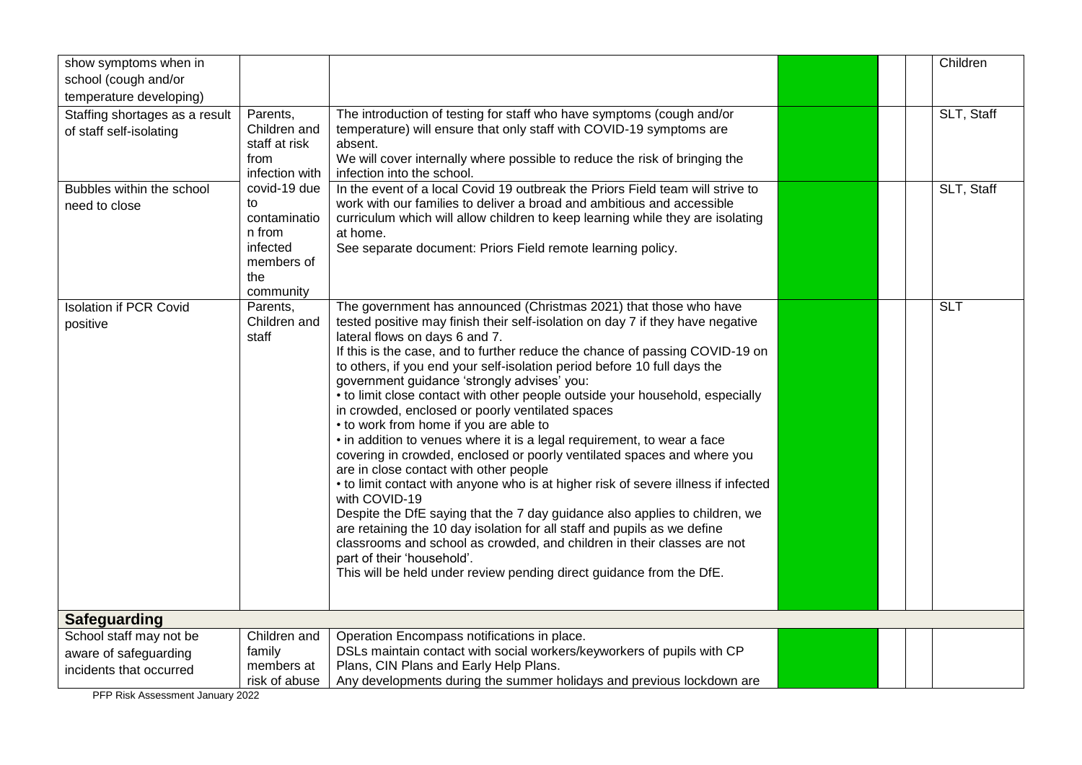| show symptoms when in          |                       |                                                                                                                   |  | Children   |
|--------------------------------|-----------------------|-------------------------------------------------------------------------------------------------------------------|--|------------|
| school (cough and/or           |                       |                                                                                                                   |  |            |
| temperature developing)        |                       |                                                                                                                   |  |            |
| Staffing shortages as a result | Parents,              | The introduction of testing for staff who have symptoms (cough and/or                                             |  | SLT, Staff |
| of staff self-isolating        | Children and          | temperature) will ensure that only staff with COVID-19 symptoms are                                               |  |            |
|                                | staff at risk<br>from | absent.<br>We will cover internally where possible to reduce the risk of bringing the                             |  |            |
|                                | infection with        | infection into the school.                                                                                        |  |            |
| Bubbles within the school      | covid-19 due          | In the event of a local Covid 19 outbreak the Priors Field team will strive to                                    |  | SLT, Staff |
| need to close                  | to                    | work with our families to deliver a broad and ambitious and accessible                                            |  |            |
|                                | contaminatio          | curriculum which will allow children to keep learning while they are isolating                                    |  |            |
|                                | n from                | at home.                                                                                                          |  |            |
|                                | infected              | See separate document: Priors Field remote learning policy.                                                       |  |            |
|                                | members of            |                                                                                                                   |  |            |
|                                | the<br>community      |                                                                                                                   |  |            |
| <b>Isolation if PCR Covid</b>  | Parents,              | The government has announced (Christmas 2021) that those who have                                                 |  | <b>SLT</b> |
| positive                       | Children and          | tested positive may finish their self-isolation on day 7 if they have negative                                    |  |            |
|                                | staff                 | lateral flows on days 6 and 7.                                                                                    |  |            |
|                                |                       | If this is the case, and to further reduce the chance of passing COVID-19 on                                      |  |            |
|                                |                       | to others, if you end your self-isolation period before 10 full days the                                          |  |            |
|                                |                       | government guidance 'strongly advises' you:                                                                       |  |            |
|                                |                       | • to limit close contact with other people outside your household, especially                                     |  |            |
|                                |                       | in crowded, enclosed or poorly ventilated spaces                                                                  |  |            |
|                                |                       | • to work from home if you are able to<br>• in addition to venues where it is a legal requirement, to wear a face |  |            |
|                                |                       | covering in crowded, enclosed or poorly ventilated spaces and where you                                           |  |            |
|                                |                       | are in close contact with other people                                                                            |  |            |
|                                |                       | • to limit contact with anyone who is at higher risk of severe illness if infected                                |  |            |
|                                |                       | with COVID-19                                                                                                     |  |            |
|                                |                       | Despite the DfE saying that the 7 day guidance also applies to children, we                                       |  |            |
|                                |                       | are retaining the 10 day isolation for all staff and pupils as we define                                          |  |            |
|                                |                       | classrooms and school as crowded, and children in their classes are not                                           |  |            |
|                                |                       | part of their 'household'.<br>This will be held under review pending direct guidance from the DfE.                |  |            |
|                                |                       |                                                                                                                   |  |            |
|                                |                       |                                                                                                                   |  |            |
| Safeguarding                   |                       |                                                                                                                   |  |            |
| School staff may not be        | Children and          | Operation Encompass notifications in place.                                                                       |  |            |
| aware of safeguarding          | family                | DSLs maintain contact with social workers/keyworkers of pupils with CP                                            |  |            |
| incidents that occurred        | members at            | Plans, CIN Plans and Early Help Plans.                                                                            |  |            |
|                                | risk of abuse         | Any developments during the summer holidays and previous lockdown are                                             |  |            |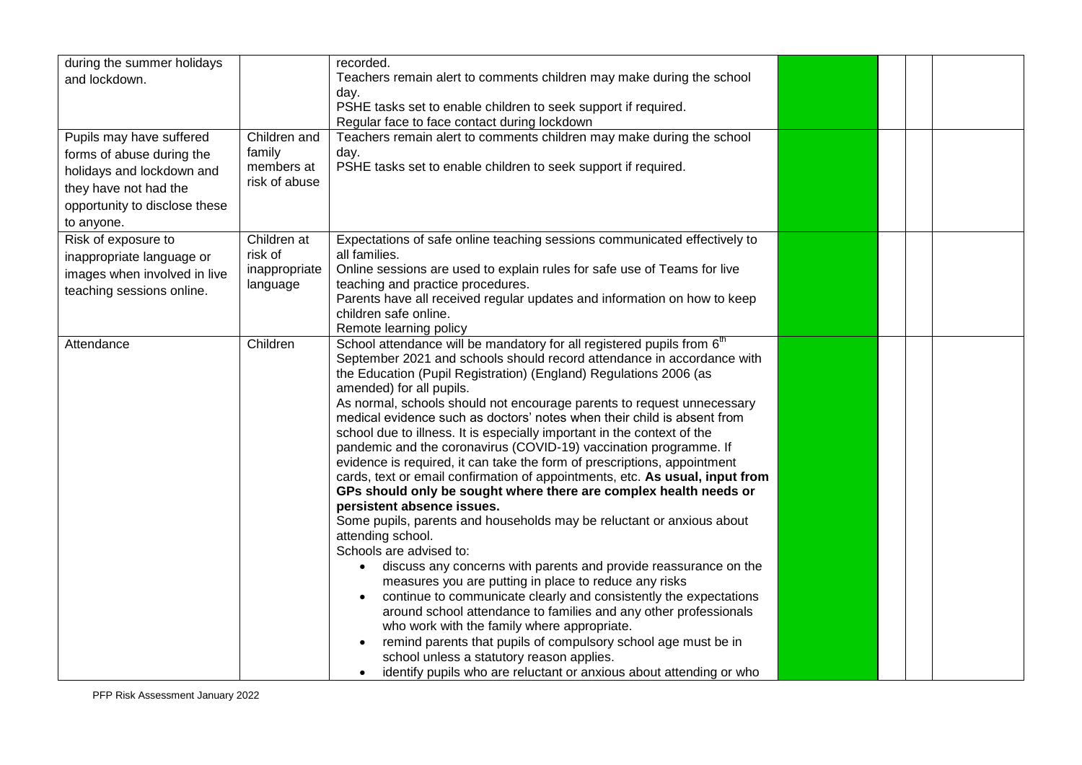| during the summer holidays<br>and lockdown.<br>Pupils may have suffered<br>forms of abuse during the<br>holidays and lockdown and<br>they have not had the<br>opportunity to disclose these | Children and<br>family<br>members at<br>risk of abuse | recorded.<br>Teachers remain alert to comments children may make during the school<br>day.<br>PSHE tasks set to enable children to seek support if required.<br>Regular face to face contact during lockdown<br>Teachers remain alert to comments children may make during the school<br>day.<br>PSHE tasks set to enable children to seek support if required.                                                                                                                                                                                                                                                                                                                                                                                                                                                                                                                                                                                                                                                                                                                                                                                                                                                                                                                                                                                                                                                                                                                                                           |  |  |  |
|---------------------------------------------------------------------------------------------------------------------------------------------------------------------------------------------|-------------------------------------------------------|---------------------------------------------------------------------------------------------------------------------------------------------------------------------------------------------------------------------------------------------------------------------------------------------------------------------------------------------------------------------------------------------------------------------------------------------------------------------------------------------------------------------------------------------------------------------------------------------------------------------------------------------------------------------------------------------------------------------------------------------------------------------------------------------------------------------------------------------------------------------------------------------------------------------------------------------------------------------------------------------------------------------------------------------------------------------------------------------------------------------------------------------------------------------------------------------------------------------------------------------------------------------------------------------------------------------------------------------------------------------------------------------------------------------------------------------------------------------------------------------------------------------------|--|--|--|
| to anyone.<br>Risk of exposure to<br>inappropriate language or<br>images when involved in live<br>teaching sessions online.                                                                 | Children at<br>risk of<br>inappropriate<br>language   | Expectations of safe online teaching sessions communicated effectively to<br>all families.<br>Online sessions are used to explain rules for safe use of Teams for live<br>teaching and practice procedures.<br>Parents have all received regular updates and information on how to keep<br>children safe online.<br>Remote learning policy                                                                                                                                                                                                                                                                                                                                                                                                                                                                                                                                                                                                                                                                                                                                                                                                                                                                                                                                                                                                                                                                                                                                                                                |  |  |  |
| Attendance                                                                                                                                                                                  | Children                                              | School attendance will be mandatory for all registered pupils from 6 <sup>th</sup><br>September 2021 and schools should record attendance in accordance with<br>the Education (Pupil Registration) (England) Regulations 2006 (as<br>amended) for all pupils.<br>As normal, schools should not encourage parents to request unnecessary<br>medical evidence such as doctors' notes when their child is absent from<br>school due to illness. It is especially important in the context of the<br>pandemic and the coronavirus (COVID-19) vaccination programme. If<br>evidence is required, it can take the form of prescriptions, appointment<br>cards, text or email confirmation of appointments, etc. As usual, input from<br>GPs should only be sought where there are complex health needs or<br>persistent absence issues.<br>Some pupils, parents and households may be reluctant or anxious about<br>attending school.<br>Schools are advised to:<br>discuss any concerns with parents and provide reassurance on the<br>$\bullet$<br>measures you are putting in place to reduce any risks<br>continue to communicate clearly and consistently the expectations<br>$\bullet$<br>around school attendance to families and any other professionals<br>who work with the family where appropriate.<br>remind parents that pupils of compulsory school age must be in<br>$\bullet$<br>school unless a statutory reason applies.<br>identify pupils who are reluctant or anxious about attending or who<br>$\bullet$ |  |  |  |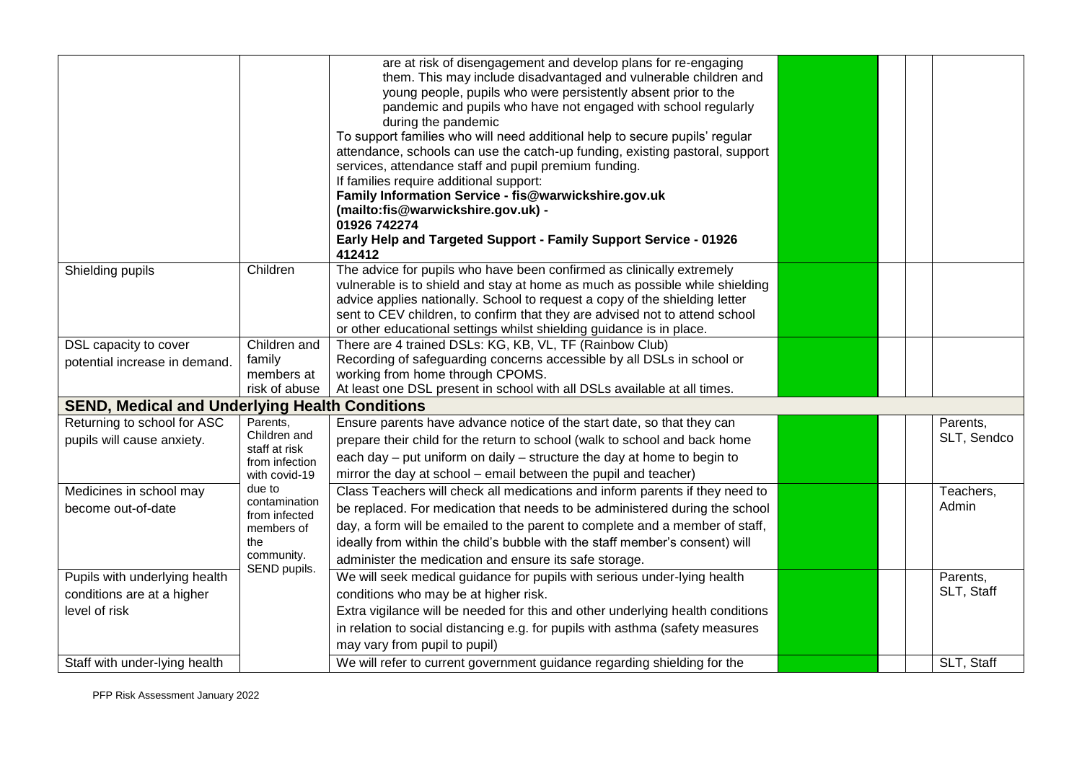|                                                                                                                                   |                                 | are at risk of disengagement and develop plans for re-engaging<br>them. This may include disadvantaged and vulnerable children and<br>young people, pupils who were persistently absent prior to the<br>pandemic and pupils who have not engaged with school regularly<br>during the pandemic<br>To support families who will need additional help to secure pupils' regular<br>attendance, schools can use the catch-up funding, existing pastoral, support<br>services, attendance staff and pupil premium funding.<br>If families require additional support:<br>Family Information Service - fis@warwickshire.gov.uk<br>(mailto:fis@warwickshire.gov.uk) -<br>01926 742274 |  |  |  |             |  |
|-----------------------------------------------------------------------------------------------------------------------------------|---------------------------------|--------------------------------------------------------------------------------------------------------------------------------------------------------------------------------------------------------------------------------------------------------------------------------------------------------------------------------------------------------------------------------------------------------------------------------------------------------------------------------------------------------------------------------------------------------------------------------------------------------------------------------------------------------------------------------|--|--|--|-------------|--|
|                                                                                                                                   |                                 | Early Help and Targeted Support - Family Support Service - 01926<br>412412                                                                                                                                                                                                                                                                                                                                                                                                                                                                                                                                                                                                     |  |  |  |             |  |
| Shielding pupils                                                                                                                  | Children                        | The advice for pupils who have been confirmed as clinically extremely<br>vulnerable is to shield and stay at home as much as possible while shielding<br>advice applies nationally. School to request a copy of the shielding letter<br>sent to CEV children, to confirm that they are advised not to attend school<br>or other educational settings whilst shielding guidance is in place.                                                                                                                                                                                                                                                                                    |  |  |  |             |  |
| DSL capacity to cover                                                                                                             | Children and                    | There are 4 trained DSLs: KG, KB, VL, TF (Rainbow Club)                                                                                                                                                                                                                                                                                                                                                                                                                                                                                                                                                                                                                        |  |  |  |             |  |
| potential increase in demand.                                                                                                     | family                          | Recording of safeguarding concerns accessible by all DSLs in school or                                                                                                                                                                                                                                                                                                                                                                                                                                                                                                                                                                                                         |  |  |  |             |  |
|                                                                                                                                   | members at<br>risk of abuse     | working from home through CPOMS.                                                                                                                                                                                                                                                                                                                                                                                                                                                                                                                                                                                                                                               |  |  |  |             |  |
| At least one DSL present in school with all DSLs available at all times.<br><b>SEND, Medical and Underlying Health Conditions</b> |                                 |                                                                                                                                                                                                                                                                                                                                                                                                                                                                                                                                                                                                                                                                                |  |  |  |             |  |
| Returning to school for ASC                                                                                                       | Parents,                        | Ensure parents have advance notice of the start date, so that they can                                                                                                                                                                                                                                                                                                                                                                                                                                                                                                                                                                                                         |  |  |  | Parents,    |  |
| pupils will cause anxiety.                                                                                                        | Children and                    | prepare their child for the return to school (walk to school and back home                                                                                                                                                                                                                                                                                                                                                                                                                                                                                                                                                                                                     |  |  |  | SLT, Sendco |  |
|                                                                                                                                   | staff at risk<br>from infection | each day - put uniform on daily - structure the day at home to begin to                                                                                                                                                                                                                                                                                                                                                                                                                                                                                                                                                                                                        |  |  |  |             |  |
|                                                                                                                                   | with covid-19                   | mirror the day at school - email between the pupil and teacher)                                                                                                                                                                                                                                                                                                                                                                                                                                                                                                                                                                                                                |  |  |  |             |  |
| Medicines in school may                                                                                                           | due to                          | Class Teachers will check all medications and inform parents if they need to                                                                                                                                                                                                                                                                                                                                                                                                                                                                                                                                                                                                   |  |  |  | Teachers,   |  |
| become out-of-date                                                                                                                | contamination<br>from infected  | be replaced. For medication that needs to be administered during the school                                                                                                                                                                                                                                                                                                                                                                                                                                                                                                                                                                                                    |  |  |  | Admin       |  |
|                                                                                                                                   | members of                      | day, a form will be emailed to the parent to complete and a member of staff,                                                                                                                                                                                                                                                                                                                                                                                                                                                                                                                                                                                                   |  |  |  |             |  |
|                                                                                                                                   | the                             | ideally from within the child's bubble with the staff member's consent) will                                                                                                                                                                                                                                                                                                                                                                                                                                                                                                                                                                                                   |  |  |  |             |  |
|                                                                                                                                   | community.<br>SEND pupils.      | administer the medication and ensure its safe storage.                                                                                                                                                                                                                                                                                                                                                                                                                                                                                                                                                                                                                         |  |  |  |             |  |
| Pupils with underlying health                                                                                                     |                                 | We will seek medical guidance for pupils with serious under-lying health                                                                                                                                                                                                                                                                                                                                                                                                                                                                                                                                                                                                       |  |  |  | Parents,    |  |
| conditions are at a higher                                                                                                        |                                 | conditions who may be at higher risk.                                                                                                                                                                                                                                                                                                                                                                                                                                                                                                                                                                                                                                          |  |  |  | SLT, Staff  |  |
| level of risk                                                                                                                     |                                 | Extra vigilance will be needed for this and other underlying health conditions                                                                                                                                                                                                                                                                                                                                                                                                                                                                                                                                                                                                 |  |  |  |             |  |
|                                                                                                                                   |                                 | in relation to social distancing e.g. for pupils with asthma (safety measures                                                                                                                                                                                                                                                                                                                                                                                                                                                                                                                                                                                                  |  |  |  |             |  |
|                                                                                                                                   |                                 | may vary from pupil to pupil)                                                                                                                                                                                                                                                                                                                                                                                                                                                                                                                                                                                                                                                  |  |  |  |             |  |
| Staff with under-lying health                                                                                                     |                                 | We will refer to current government guidance regarding shielding for the                                                                                                                                                                                                                                                                                                                                                                                                                                                                                                                                                                                                       |  |  |  | SLT, Staff  |  |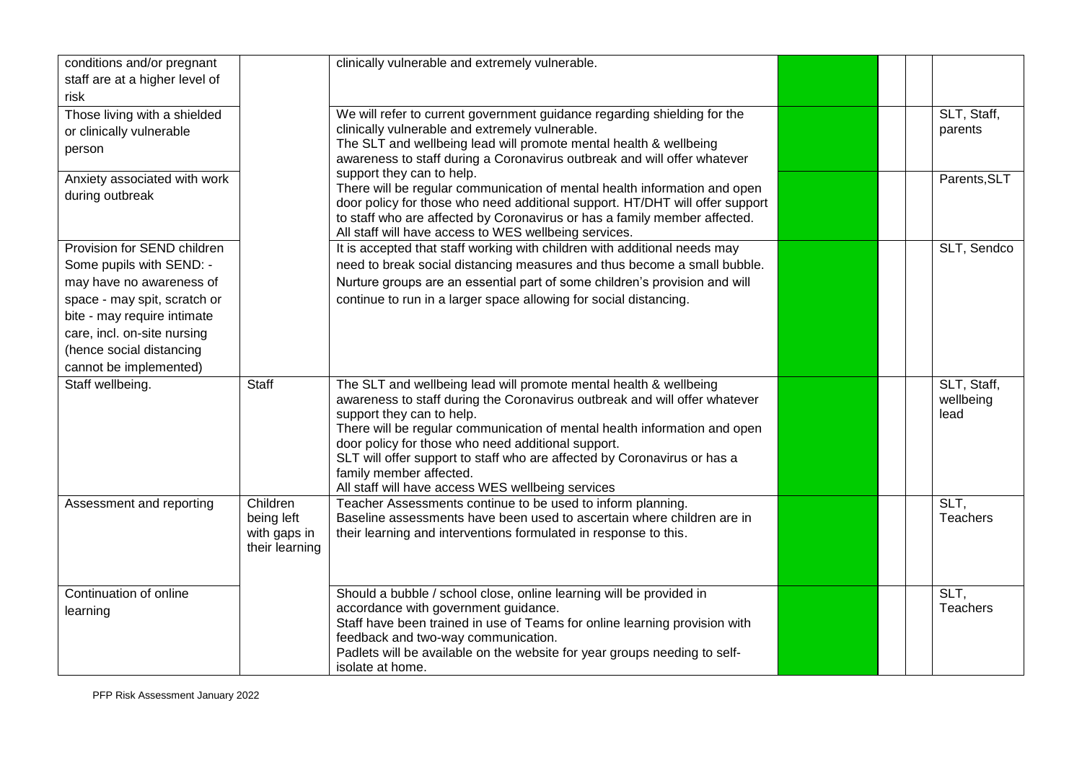| conditions and/or pregnant<br>staff are at a higher level of<br>risk                                                                                                                                                                    |                                                          | clinically vulnerable and extremely vulnerable.                                                                                                                                                                                                                                                                                                                                                                                                                             |  |                                  |
|-----------------------------------------------------------------------------------------------------------------------------------------------------------------------------------------------------------------------------------------|----------------------------------------------------------|-----------------------------------------------------------------------------------------------------------------------------------------------------------------------------------------------------------------------------------------------------------------------------------------------------------------------------------------------------------------------------------------------------------------------------------------------------------------------------|--|----------------------------------|
| Those living with a shielded<br>or clinically vulnerable<br>person                                                                                                                                                                      |                                                          | We will refer to current government guidance regarding shielding for the<br>clinically vulnerable and extremely vulnerable.<br>The SLT and wellbeing lead will promote mental health & wellbeing<br>awareness to staff during a Coronavirus outbreak and will offer whatever                                                                                                                                                                                                |  | SLT, Staff,<br>parents           |
| Anxiety associated with work<br>during outbreak                                                                                                                                                                                         |                                                          | support they can to help.<br>There will be regular communication of mental health information and open<br>door policy for those who need additional support. HT/DHT will offer support<br>to staff who are affected by Coronavirus or has a family member affected.<br>All staff will have access to WES wellbeing services.                                                                                                                                                |  | Parents, SLT                     |
| Provision for SEND children<br>Some pupils with SEND: -<br>may have no awareness of<br>space - may spit, scratch or<br>bite - may require intimate<br>care, incl. on-site nursing<br>(hence social distancing<br>cannot be implemented) |                                                          | It is accepted that staff working with children with additional needs may<br>need to break social distancing measures and thus become a small bubble.<br>Nurture groups are an essential part of some children's provision and will<br>continue to run in a larger space allowing for social distancing.                                                                                                                                                                    |  | SLT, Sendco                      |
| Staff wellbeing.                                                                                                                                                                                                                        | Staff                                                    | The SLT and wellbeing lead will promote mental health & wellbeing<br>awareness to staff during the Coronavirus outbreak and will offer whatever<br>support they can to help.<br>There will be regular communication of mental health information and open<br>door policy for those who need additional support.<br>SLT will offer support to staff who are affected by Coronavirus or has a<br>family member affected.<br>All staff will have access WES wellbeing services |  | SLT, Staff,<br>wellbeing<br>lead |
| Assessment and reporting                                                                                                                                                                                                                | Children<br>being left<br>with gaps in<br>their learning | Teacher Assessments continue to be used to inform planning.<br>Baseline assessments have been used to ascertain where children are in<br>their learning and interventions formulated in response to this.                                                                                                                                                                                                                                                                   |  | SLT,<br><b>Teachers</b>          |
| Continuation of online<br>learning                                                                                                                                                                                                      |                                                          | Should a bubble / school close, online learning will be provided in<br>accordance with government guidance.<br>Staff have been trained in use of Teams for online learning provision with<br>feedback and two-way communication.<br>Padlets will be available on the website for year groups needing to self-<br>isolate at home.                                                                                                                                           |  | SLT,<br><b>Teachers</b>          |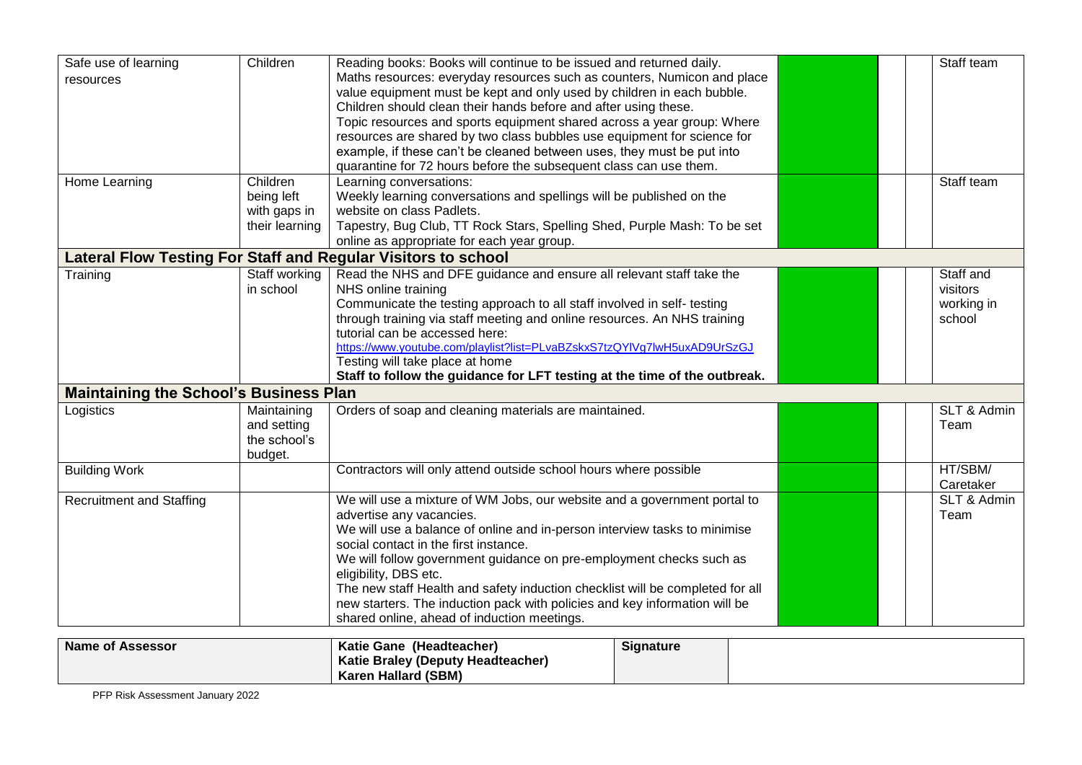| Safe use of learning                          | Children       | Reading books: Books will continue to be issued and returned daily.           |  | Staff team  |
|-----------------------------------------------|----------------|-------------------------------------------------------------------------------|--|-------------|
| resources                                     |                | Maths resources: everyday resources such as counters, Numicon and place       |  |             |
|                                               |                | value equipment must be kept and only used by children in each bubble.        |  |             |
|                                               |                | Children should clean their hands before and after using these.               |  |             |
|                                               |                | Topic resources and sports equipment shared across a year group: Where        |  |             |
|                                               |                | resources are shared by two class bubbles use equipment for science for       |  |             |
|                                               |                | example, if these can't be cleaned between uses, they must be put into        |  |             |
|                                               |                | quarantine for 72 hours before the subsequent class can use them.             |  |             |
| Home Learning                                 | Children       | Learning conversations:                                                       |  | Staff team  |
|                                               | being left     | Weekly learning conversations and spellings will be published on the          |  |             |
|                                               | with gaps in   | website on class Padlets.                                                     |  |             |
|                                               | their learning | Tapestry, Bug Club, TT Rock Stars, Spelling Shed, Purple Mash: To be set      |  |             |
|                                               |                | online as appropriate for each year group.                                    |  |             |
|                                               |                | Lateral Flow Testing For Staff and Regular Visitors to school                 |  |             |
| Training                                      | Staff working  | Read the NHS and DFE guidance and ensure all relevant staff take the          |  | Staff and   |
|                                               | in school      | NHS online training                                                           |  | visitors    |
|                                               |                | Communicate the testing approach to all staff involved in self- testing       |  | working in  |
|                                               |                | through training via staff meeting and online resources. An NHS training      |  | school      |
|                                               |                | tutorial can be accessed here:                                                |  |             |
|                                               |                | https://www.youtube.com/playlist?list=PLvaBZskxS7tzQYIVg7lwH5uxAD9UrSzGJ      |  |             |
|                                               |                | Testing will take place at home                                               |  |             |
|                                               |                | Staff to follow the guidance for LFT testing at the time of the outbreak.     |  |             |
| <b>Maintaining the School's Business Plan</b> |                |                                                                               |  |             |
| Logistics                                     | Maintaining    | Orders of soap and cleaning materials are maintained.                         |  | SLT & Admin |
|                                               | and setting    |                                                                               |  | Team        |
|                                               | the school's   |                                                                               |  |             |
|                                               | budget.        |                                                                               |  |             |
| <b>Building Work</b>                          |                | Contractors will only attend outside school hours where possible              |  | HT/SBM/     |
|                                               |                |                                                                               |  | Caretaker   |
| <b>Recruitment and Staffing</b>               |                | We will use a mixture of WM Jobs, our website and a government portal to      |  | SLT & Admin |
|                                               |                | advertise any vacancies.                                                      |  | Team        |
|                                               |                | We will use a balance of online and in-person interview tasks to minimise     |  |             |
|                                               |                | social contact in the first instance.                                         |  |             |
|                                               |                | We will follow government guidance on pre-employment checks such as           |  |             |
|                                               |                | eligibility, DBS etc.                                                         |  |             |
|                                               |                | The new staff Health and safety induction checklist will be completed for all |  |             |
|                                               |                | new starters. The induction pack with policies and key information will be    |  |             |
|                                               |                | shared online, ahead of induction meetings.                                   |  |             |
| Namo of Accorcer                              |                | Katio Cano (Hoadtoachor)<br><b>Cianoturo</b>                                  |  |             |

| <b>Name of Assessor</b> | Katie Gane (Headteacher)          | <b>Signature</b> |  |
|-------------------------|-----------------------------------|------------------|--|
|                         | Katie Braley (Deputy Headteacher) |                  |  |
|                         | <b>Karen Hallard (SBM)</b>        |                  |  |